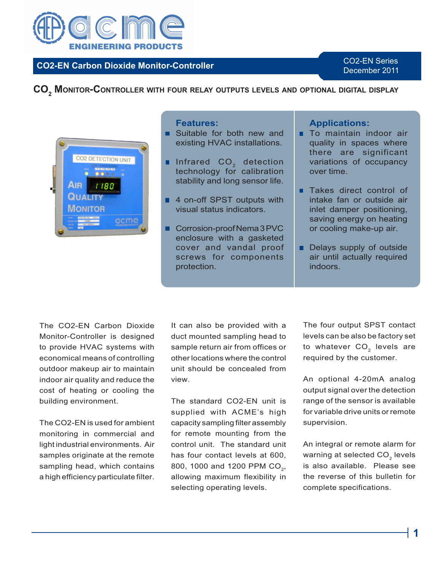

# **CO2-EN Carbon Dioxide Monitor-Controller**

CO2-EN Series December 2011

**CO2 MONITOR-CONTROLLER WITH FOUR RELAY OUTPUTS LEVELS AND OPTIONAL DIGITAL DISPLAY**



# **Features:**

- **Suitable for both new and** existing HVAC installations.
- Infrared  $CO<sub>2</sub>$  detection technology for calibration stability and long sensor life.
- 4 on-off SPST outputs with visual status indicators.
- Corrosion-proof Nema 3 PVC enclosure with a gasketed cover and vandal proof screws for components protection.

## **Applications:**

- **To maintain indoor air** quality in spaces where there are significant variations of occupancy over time.
- **Takes direct control of** intake fan or outside air inlet damper positioning, saving energy on heating or cooling make-up air.
- . Delays supply of outside air until actually required indoors.

The CO2-EN Carbon Dioxide Monitor-Controller is designed to provide HVAC systems with economical means of controlling outdoor makeup air to maintain indoor air quality and reduce the cost of heating or cooling the building environment.

The CO2-EN is used for ambient monitoring in commercial and light industrial environments. Air samples originate at the remote sampling head, which contains a high efficiency particulate filter.

It can also be provided with a duct mounted sampling head to sample return air from offices or other locations where the control unit should be concealed from view.

The standard CO2-EN unit is supplied with ACME's high capacity sampling filter assembly for remote mounting from the control unit. The standard unit has four contact levels at 600, 800, 1000 and 1200 PPM CO<sub>2</sub>, allowing maximum flexibility in selecting operating levels.

The four output SPST contact levels can be also be factory set to whatever  $CO<sub>2</sub>$  levels are required by the customer.

An optional 4-20mA analog output signal over the detection range of the sensor is available for variable drive units or remote supervision.

An integral or remote alarm for warning at selected  $CO<sub>2</sub>$  levels is also available. Please see the reverse of this bulletin for complete specifications.